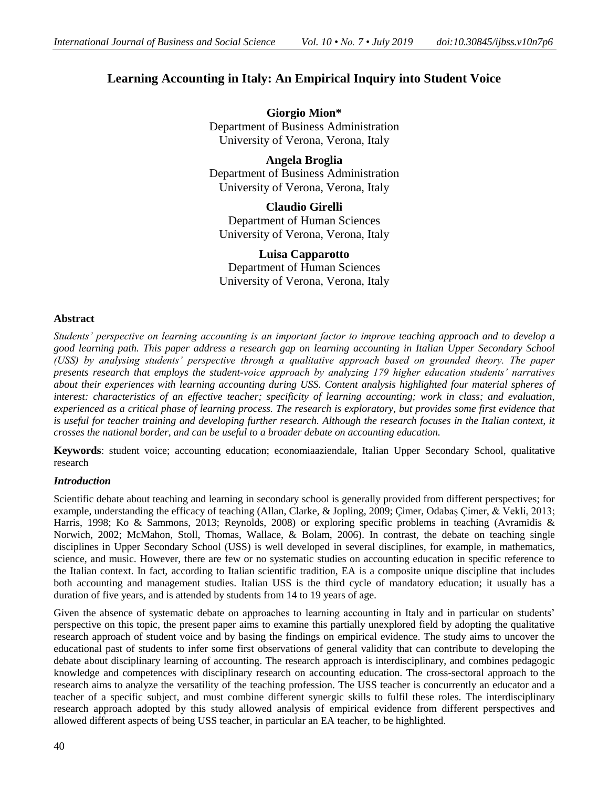# **Learning Accounting in Italy: An Empirical Inquiry into Student Voice**

**Giorgio Mion\*** Department of Business Administration University of Verona, Verona, Italy

**Angela Broglia** Department of Business Administration University of Verona, Verona, Italy

**Claudio Girelli** Department of Human Sciences University of Verona, Verona, Italy

**Luisa Capparotto** Department of Human Sciences University of Verona, Verona, Italy

# **Abstract**

*Students' perspective on learning accounting is an important factor to improve teaching approach and to develop a good learning path. This paper address a research gap on learning accounting in Italian Upper Secondary School (USS) by analysing students' perspective through a qualitative approach based on grounded theory. The paper presents research that employs the student-voice approach by analyzing 179 higher education students' narratives about their experiences with learning accounting during USS. Content analysis highlighted four material spheres of interest: characteristics of an effective teacher; specificity of learning accounting; work in class; and evaluation, experienced as a critical phase of learning process. The research is exploratory, but provides some first evidence that*  is useful for teacher training and developing further research. Although the research focuses in the Italian context, it *crosses the national border, and can be useful to a broader debate on accounting education.*

**Keywords**: student voice; accounting education; economiaaziendale, Italian Upper Secondary School, qualitative research

# *Introduction*

Scientific debate about teaching and learning in secondary school is generally provided from different perspectives; for example, understanding the efficacy of teaching (Allan, Clarke, & Jopling, 2009; Çimer, Odabaş Çimer, & Vekli, 2013; Harris, 1998; Ko & Sammons, 2013; Reynolds, 2008) or exploring specific problems in teaching (Avramidis & Norwich, 2002; McMahon, Stoll, Thomas, Wallace, & Bolam, 2006). In contrast, the debate on teaching single disciplines in Upper Secondary School (USS) is well developed in several disciplines, for example, in mathematics, science, and music. However, there are few or no systematic studies on accounting education in specific reference to the Italian context. In fact, according to Italian scientific tradition, EA is a composite unique discipline that includes both accounting and management studies. Italian USS is the third cycle of mandatory education; it usually has a duration of five years, and is attended by students from 14 to 19 years of age.

Given the absence of systematic debate on approaches to learning accounting in Italy and in particular on students' perspective on this topic, the present paper aims to examine this partially unexplored field by adopting the qualitative research approach of student voice and by basing the findings on empirical evidence. The study aims to uncover the educational past of students to infer some first observations of general validity that can contribute to developing the debate about disciplinary learning of accounting. The research approach is interdisciplinary, and combines pedagogic knowledge and competences with disciplinary research on accounting education. The cross-sectoral approach to the research aims to analyze the versatility of the teaching profession. The USS teacher is concurrently an educator and a teacher of a specific subject, and must combine different synergic skills to fulfil these roles. The interdisciplinary research approach adopted by this study allowed analysis of empirical evidence from different perspectives and allowed different aspects of being USS teacher, in particular an EA teacher, to be highlighted.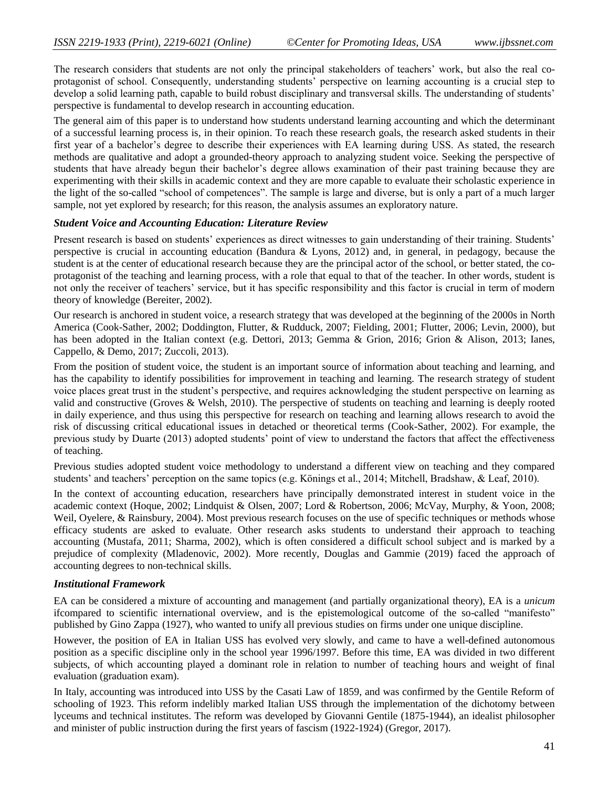The research considers that students are not only the principal stakeholders of teachers' work, but also the real coprotagonist of school. Consequently, understanding students' perspective on learning accounting is a crucial step to develop a solid learning path, capable to build robust disciplinary and transversal skills. The understanding of students' perspective is fundamental to develop research in accounting education.

The general aim of this paper is to understand how students understand learning accounting and which the determinant of a successful learning process is, in their opinion. To reach these research goals, the research asked students in their first year of a bachelor's degree to describe their experiences with EA learning during USS. As stated, the research methods are qualitative and adopt a grounded-theory approach to analyzing student voice. Seeking the perspective of students that have already begun their bachelor's degree allows examination of their past training because they are experimenting with their skills in academic context and they are more capable to evaluate their scholastic experience in the light of the so-called "school of competences". The sample is large and diverse, but is only a part of a much larger sample, not yet explored by research; for this reason, the analysis assumes an exploratory nature.

#### *Student Voice and Accounting Education: Literature Review*

Present research is based on students' experiences as direct witnesses to gain understanding of their training. Students' perspective is crucial in accounting education (Bandura & Lyons, 2012) and, in general, in pedagogy, because the student is at the center of educational research because they are the principal actor of the school, or better stated, the coprotagonist of the teaching and learning process, with a role that equal to that of the teacher. In other words, student is not only the receiver of teachers' service, but it has specific responsibility and this factor is crucial in term of modern theory of knowledge (Bereiter, 2002).

Our research is anchored in student voice, a research strategy that was developed at the beginning of the 2000s in North America (Cook-Sather, 2002; Doddington, Flutter, & Rudduck, 2007; Fielding, 2001; Flutter, 2006; Levin, 2000), but has been adopted in the Italian context (e.g. Dettori, 2013; Gemma & Grion, 2016; Grion & Alison, 2013; Ianes, Cappello, & Demo, 2017; Zuccoli, 2013).

From the position of student voice, the student is an important source of information about teaching and learning, and has the capability to identify possibilities for improvement in teaching and learning. The research strategy of student voice places great trust in the student's perspective, and requires acknowledging the student perspective on learning as valid and constructive (Groves & Welsh, 2010). The perspective of students on teaching and learning is deeply rooted in daily experience, and thus using this perspective for research on teaching and learning allows research to avoid the risk of discussing critical educational issues in detached or theoretical terms (Cook-Sather, 2002). For example, the previous study by Duarte (2013) adopted students' point of view to understand the factors that affect the effectiveness of teaching.

Previous studies adopted student voice methodology to understand a different view on teaching and they compared students' and teachers' perception on the same topics (e.g. Könings et al., 2014; Mitchell, Bradshaw, & Leaf, 2010).

In the context of accounting education, researchers have principally demonstrated interest in student voice in the academic context (Hoque, 2002; Lindquist & Olsen, 2007; Lord & Robertson, 2006; McVay, Murphy, & Yoon, 2008; Weil, Oyelere, & Rainsbury, 2004). Most previous research focuses on the use of specific techniques or methods whose efficacy students are asked to evaluate. Other research asks students to understand their approach to teaching accounting (Mustafa, 2011; Sharma, 2002), which is often considered a difficult school subject and is marked by a prejudice of complexity (Mladenovic, 2002). More recently, Douglas and Gammie (2019) faced the approach of accounting degrees to non-technical skills.

# *Institutional Framework*

EA can be considered a mixture of accounting and management (and partially organizational theory), EA is a *unicum*  ifcompared to scientific international overview, and is the epistemological outcome of the so-called "manifesto" published by Gino Zappa (1927), who wanted to unify all previous studies on firms under one unique discipline.

However, the position of EA in Italian USS has evolved very slowly, and came to have a well-defined autonomous position as a specific discipline only in the school year 1996/1997. Before this time, EA was divided in two different subjects, of which accounting played a dominant role in relation to number of teaching hours and weight of final evaluation (graduation exam).

In Italy, accounting was introduced into USS by the Casati Law of 1859, and was confirmed by the Gentile Reform of schooling of 1923. This reform indelibly marked Italian USS through the implementation of the dichotomy between lyceums and technical institutes. The reform was developed by Giovanni Gentile (1875-1944), an idealist philosopher and minister of public instruction during the first years of fascism (1922-1924) (Gregor, 2017).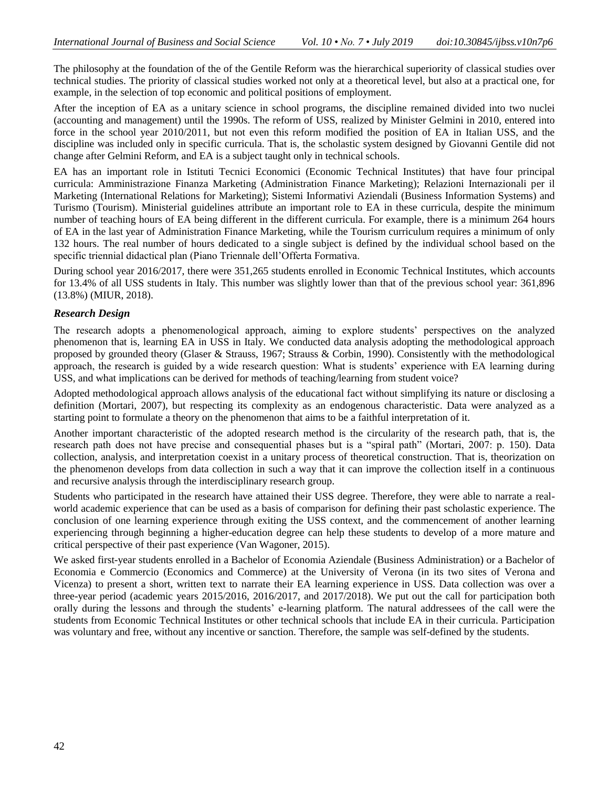The philosophy at the foundation of the of the Gentile Reform was the hierarchical superiority of classical studies over technical studies. The priority of classical studies worked not only at a theoretical level, but also at a practical one, for example, in the selection of top economic and political positions of employment.

After the inception of EA as a unitary science in school programs, the discipline remained divided into two nuclei (accounting and management) until the 1990s. The reform of USS, realized by Minister Gelmini in 2010, entered into force in the school year 2010/2011, but not even this reform modified the position of EA in Italian USS, and the discipline was included only in specific curricula. That is, the scholastic system designed by Giovanni Gentile did not change after Gelmini Reform, and EA is a subject taught only in technical schools.

EA has an important role in Istituti Tecnici Economici (Economic Technical Institutes) that have four principal curricula: Amministrazione Finanza Marketing (Administration Finance Marketing); Relazioni Internazionali per il Marketing (International Relations for Marketing); Sistemi Informativi Aziendali (Business Information Systems) and Turismo (Tourism). Ministerial guidelines attribute an important role to EA in these curricula, despite the minimum number of teaching hours of EA being different in the different curricula. For example, there is a minimum 264 hours of EA in the last year of Administration Finance Marketing, while the Tourism curriculum requires a minimum of only 132 hours. The real number of hours dedicated to a single subject is defined by the individual school based on the specific triennial didactical plan (Piano Triennale dell'Offerta Formativa.

During school year 2016/2017, there were 351,265 students enrolled in Economic Technical Institutes, which accounts for 13.4% of all USS students in Italy. This number was slightly lower than that of the previous school year: 361,896 (13.8%) (MIUR, 2018).

# *Research Design*

The research adopts a phenomenological approach, aiming to explore students' perspectives on the analyzed phenomenon that is, learning EA in USS in Italy. We conducted data analysis adopting the methodological approach proposed by grounded theory (Glaser & Strauss, 1967; Strauss & Corbin, 1990). Consistently with the methodological approach, the research is guided by a wide research question: What is students' experience with EA learning during USS, and what implications can be derived for methods of teaching/learning from student voice?

Adopted methodological approach allows analysis of the educational fact without simplifying its nature or disclosing a definition (Mortari, 2007), but respecting its complexity as an endogenous characteristic. Data were analyzed as a starting point to formulate a theory on the phenomenon that aims to be a faithful interpretation of it.

Another important characteristic of the adopted research method is the circularity of the research path, that is, the research path does not have precise and consequential phases but is a "spiral path" (Mortari, 2007: p. 150). Data collection, analysis, and interpretation coexist in a unitary process of theoretical construction. That is, theorization on the phenomenon develops from data collection in such a way that it can improve the collection itself in a continuous and recursive analysis through the interdisciplinary research group.

Students who participated in the research have attained their USS degree. Therefore, they were able to narrate a realworld academic experience that can be used as a basis of comparison for defining their past scholastic experience. The conclusion of one learning experience through exiting the USS context, and the commencement of another learning experiencing through beginning a higher-education degree can help these students to develop of a more mature and critical perspective of their past experience (Van Wagoner, 2015).

We asked first-year students enrolled in a Bachelor of Economia Aziendale (Business Administration) or a Bachelor of Economia e Commercio (Economics and Commerce) at the University of Verona (in its two sites of Verona and Vicenza) to present a short, written text to narrate their EA learning experience in USS. Data collection was over a three-year period (academic years 2015/2016, 2016/2017, and 2017/2018). We put out the call for participation both orally during the lessons and through the students' e-learning platform. The natural addressees of the call were the students from Economic Technical Institutes or other technical schools that include EA in their curricula. Participation was voluntary and free, without any incentive or sanction. Therefore, the sample was self-defined by the students.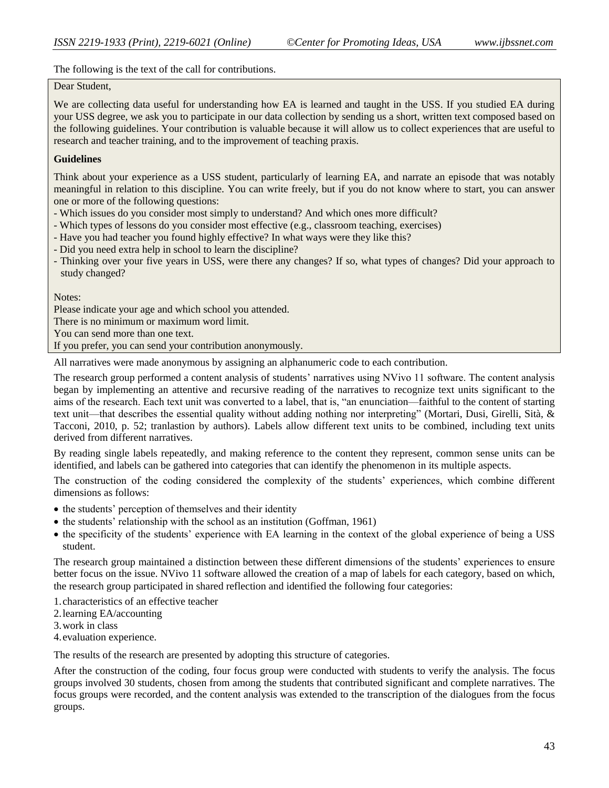The following is the text of the call for contributions.

#### Dear Student,

We are collecting data useful for understanding how EA is learned and taught in the USS. If you studied EA during your USS degree, we ask you to participate in our data collection by sending us a short, written text composed based on the following guidelines. Your contribution is valuable because it will allow us to collect experiences that are useful to research and teacher training, and to the improvement of teaching praxis.

### **Guidelines**

Think about your experience as a USS student, particularly of learning EA, and narrate an episode that was notably meaningful in relation to this discipline. You can write freely, but if you do not know where to start, you can answer one or more of the following questions:

- Which issues do you consider most simply to understand? And which ones more difficult?
- Which types of lessons do you consider most effective (e.g., classroom teaching, exercises)
- Have you had teacher you found highly effective? In what ways were they like this?
- Did you need extra help in school to learn the discipline?
- Thinking over your five years in USS, were there any changes? If so, what types of changes? Did your approach to study changed?

Notes:

Please indicate your age and which school you attended.

There is no minimum or maximum word limit.

You can send more than one text.

If you prefer, you can send your contribution anonymously.

All narratives were made anonymous by assigning an alphanumeric code to each contribution.

The research group performed a content analysis of students' narratives using NVivo 11 software. The content analysis began by implementing an attentive and recursive reading of the narratives to recognize text units significant to the aims of the research. Each text unit was converted to a label, that is, "an enunciation—faithful to the content of starting text unit—that describes the essential quality without adding nothing nor interpreting" (Mortari, Dusi, Girelli, Sità, & Tacconi, 2010, p. 52; tranlastion by authors). Labels allow different text units to be combined, including text units derived from different narratives.

By reading single labels repeatedly, and making reference to the content they represent, common sense units can be identified, and labels can be gathered into categories that can identify the phenomenon in its multiple aspects.

The construction of the coding considered the complexity of the students' experiences, which combine different dimensions as follows:

- the students' perception of themselves and their identity
- $\bullet$  the students' relationship with the school as an institution (Goffman, 1961)
- the specificity of the students' experience with EA learning in the context of the global experience of being a USS student.

The research group maintained a distinction between these different dimensions of the students' experiences to ensure better focus on the issue. NVivo 11 software allowed the creation of a map of labels for each category, based on which, the research group participated in shared reflection and identified the following four categories:

1.characteristics of an effective teacher

2.learning EA/accounting

3.work in class

4.evaluation experience.

The results of the research are presented by adopting this structure of categories.

After the construction of the coding, four focus group were conducted with students to verify the analysis. The focus groups involved 30 students, chosen from among the students that contributed significant and complete narratives. The focus groups were recorded, and the content analysis was extended to the transcription of the dialogues from the focus groups.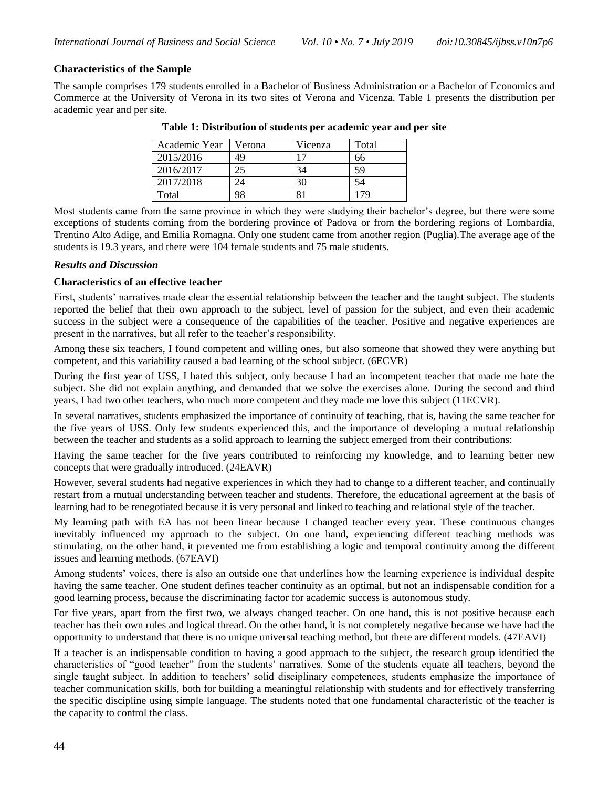# **Characteristics of the Sample**

The sample comprises 179 students enrolled in a Bachelor of Business Administration or a Bachelor of Economics and Commerce at the University of Verona in its two sites of Verona and Vicenza. Table 1 presents the distribution per academic year and per site.

| Academic Year | Verona | Vicenza | Total |
|---------------|--------|---------|-------|
| 2015/2016     | 49     | 17      | 66    |
| 2016/2017     | 25     | 34      | 59    |
| 2017/2018     | 24     | 30      | 54    |
| Total         |        |         |       |

**Table 1: Distribution of students per academic year and per site**

Most students came from the same province in which they were studying their bachelor's degree, but there were some exceptions of students coming from the bordering province of Padova or from the bordering regions of Lombardia, Trentino Alto Adige, and Emilia Romagna. Only one student came from another region (Puglia).The average age of the students is 19.3 years, and there were 104 female students and 75 male students.

### *Results and Discussion*

### **Characteristics of an effective teacher**

First, students' narratives made clear the essential relationship between the teacher and the taught subject. The students reported the belief that their own approach to the subject, level of passion for the subject, and even their academic success in the subject were a consequence of the capabilities of the teacher. Positive and negative experiences are present in the narratives, but all refer to the teacher's responsibility.

Among these six teachers, I found competent and willing ones, but also someone that showed they were anything but competent, and this variability caused a bad learning of the school subject. (6ECVR)

During the first year of USS, I hated this subject, only because I had an incompetent teacher that made me hate the subject. She did not explain anything, and demanded that we solve the exercises alone. During the second and third years, I had two other teachers, who much more competent and they made me love this subject (11ECVR).

In several narratives, students emphasized the importance of continuity of teaching, that is, having the same teacher for the five years of USS. Only few students experienced this, and the importance of developing a mutual relationship between the teacher and students as a solid approach to learning the subject emerged from their contributions:

Having the same teacher for the five years contributed to reinforcing my knowledge, and to learning better new concepts that were gradually introduced. (24EAVR)

However, several students had negative experiences in which they had to change to a different teacher, and continually restart from a mutual understanding between teacher and students. Therefore, the educational agreement at the basis of learning had to be renegotiated because it is very personal and linked to teaching and relational style of the teacher.

My learning path with EA has not been linear because I changed teacher every year. These continuous changes inevitably influenced my approach to the subject. On one hand, experiencing different teaching methods was stimulating, on the other hand, it prevented me from establishing a logic and temporal continuity among the different issues and learning methods. (67EAVI)

Among students' voices, there is also an outside one that underlines how the learning experience is individual despite having the same teacher. One student defines teacher continuity as an optimal, but not an indispensable condition for a good learning process, because the discriminating factor for academic success is autonomous study.

For five years, apart from the first two, we always changed teacher. On one hand, this is not positive because each teacher has their own rules and logical thread. On the other hand, it is not completely negative because we have had the opportunity to understand that there is no unique universal teaching method, but there are different models. (47EAVI)

If a teacher is an indispensable condition to having a good approach to the subject, the research group identified the characteristics of "good teacher" from the students' narratives. Some of the students equate all teachers, beyond the single taught subject. In addition to teachers' solid disciplinary competences, students emphasize the importance of teacher communication skills, both for building a meaningful relationship with students and for effectively transferring the specific discipline using simple language. The students noted that one fundamental characteristic of the teacher is the capacity to control the class.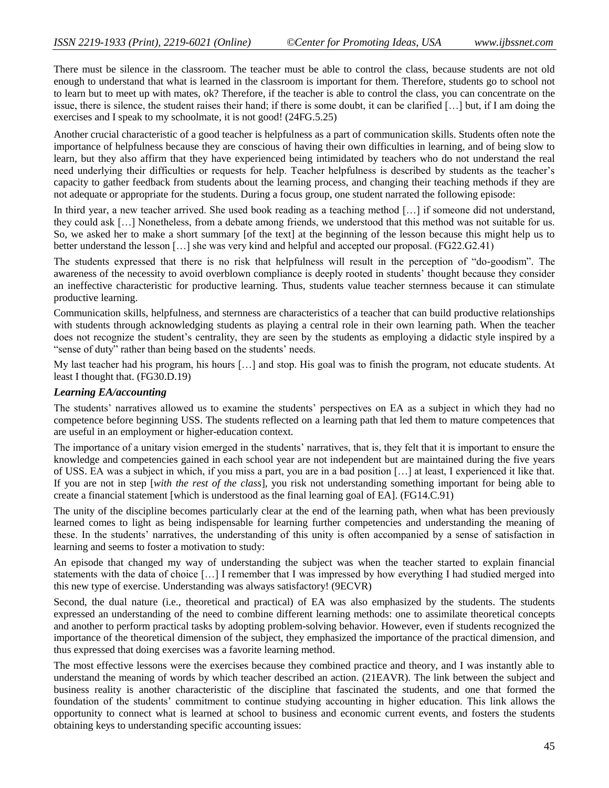There must be silence in the classroom. The teacher must be able to control the class, because students are not old enough to understand that what is learned in the classroom is important for them. Therefore, students go to school not to learn but to meet up with mates, ok? Therefore, if the teacher is able to control the class, you can concentrate on the issue, there is silence, the student raises their hand; if there is some doubt, it can be clarified […] but, if I am doing the exercises and I speak to my schoolmate, it is not good! (24FG.5.25)

Another crucial characteristic of a good teacher is helpfulness as a part of communication skills. Students often note the importance of helpfulness because they are conscious of having their own difficulties in learning, and of being slow to learn, but they also affirm that they have experienced being intimidated by teachers who do not understand the real need underlying their difficulties or requests for help. Teacher helpfulness is described by students as the teacher's capacity to gather feedback from students about the learning process, and changing their teaching methods if they are not adequate or appropriate for the students. During a focus group, one student narrated the following episode:

In third year, a new teacher arrived. She used book reading as a teaching method […] if someone did not understand, they could ask […] Nonetheless, from a debate among friends, we understood that this method was not suitable for us. So, we asked her to make a short summary [of the text] at the beginning of the lesson because this might help us to better understand the lesson […] she was very kind and helpful and accepted our proposal. (FG22.G2.41)

The students expressed that there is no risk that helpfulness will result in the perception of "do-goodism". The awareness of the necessity to avoid overblown compliance is deeply rooted in students' thought because they consider an ineffective characteristic for productive learning. Thus, students value teacher sternness because it can stimulate productive learning.

Communication skills, helpfulness, and sternness are characteristics of a teacher that can build productive relationships with students through acknowledging students as playing a central role in their own learning path. When the teacher does not recognize the student's centrality, they are seen by the students as employing a didactic style inspired by a "sense of duty" rather than being based on the students' needs.

My last teacher had his program, his hours […] and stop. His goal was to finish the program, not educate students. At least I thought that. (FG30.D.19)

### *Learning EA/accounting*

The students' narratives allowed us to examine the students' perspectives on EA as a subject in which they had no competence before beginning USS. The students reflected on a learning path that led them to mature competences that are useful in an employment or higher-education context.

The importance of a unitary vision emerged in the students' narratives, that is, they felt that it is important to ensure the knowledge and competencies gained in each school year are not independent but are maintained during the five years of USS. EA was a subject in which, if you miss a part, you are in a bad position […] at least, I experienced it like that. If you are not in step [*with the rest of the class*], you risk not understanding something important for being able to create a financial statement [which is understood as the final learning goal of EA]. (FG14.C.91)

The unity of the discipline becomes particularly clear at the end of the learning path, when what has been previously learned comes to light as being indispensable for learning further competencies and understanding the meaning of these. In the students' narratives, the understanding of this unity is often accompanied by a sense of satisfaction in learning and seems to foster a motivation to study:

An episode that changed my way of understanding the subject was when the teacher started to explain financial statements with the data of choice […] I remember that I was impressed by how everything I had studied merged into this new type of exercise. Understanding was always satisfactory! (9ECVR)

Second, the dual nature (i.e., theoretical and practical) of EA was also emphasized by the students. The students expressed an understanding of the need to combine different learning methods: one to assimilate theoretical concepts and another to perform practical tasks by adopting problem-solving behavior. However, even if students recognized the importance of the theoretical dimension of the subject, they emphasized the importance of the practical dimension, and thus expressed that doing exercises was a favorite learning method.

The most effective lessons were the exercises because they combined practice and theory, and I was instantly able to understand the meaning of words by which teacher described an action. (21EAVR). The link between the subject and business reality is another characteristic of the discipline that fascinated the students, and one that formed the foundation of the students' commitment to continue studying accounting in higher education. This link allows the opportunity to connect what is learned at school to business and economic current events, and fosters the students obtaining keys to understanding specific accounting issues: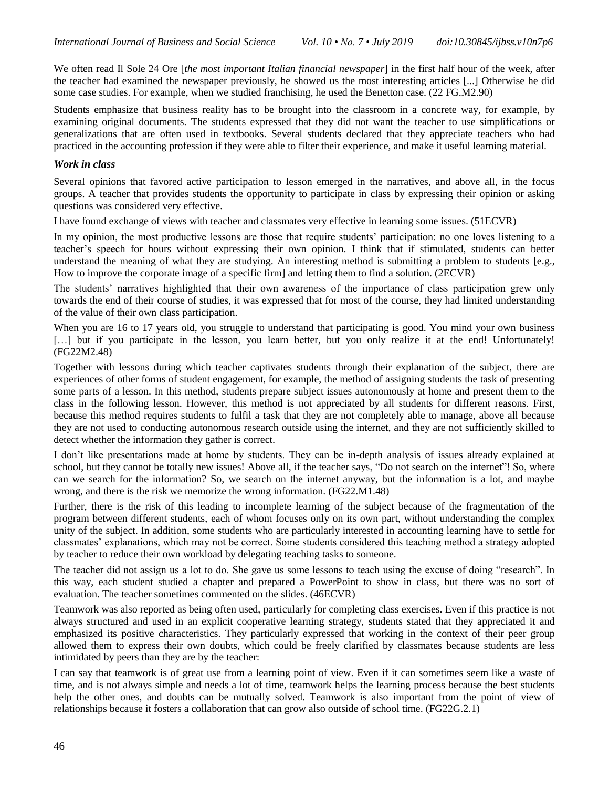We often read Il Sole 24 Ore [*the most important Italian financial newspaper*] in the first half hour of the week, after the teacher had examined the newspaper previously, he showed us the most interesting articles [...] Otherwise he did some case studies. For example, when we studied franchising, he used the Benetton case. (22 FG.M2.90)

Students emphasize that business reality has to be brought into the classroom in a concrete way, for example, by examining original documents. The students expressed that they did not want the teacher to use simplifications or generalizations that are often used in textbooks. Several students declared that they appreciate teachers who had practiced in the accounting profession if they were able to filter their experience, and make it useful learning material.

### *Work in class*

Several opinions that favored active participation to lesson emerged in the narratives, and above all, in the focus groups. A teacher that provides students the opportunity to participate in class by expressing their opinion or asking questions was considered very effective.

I have found exchange of views with teacher and classmates very effective in learning some issues. (51ECVR)

In my opinion, the most productive lessons are those that require students' participation: no one loves listening to a teacher's speech for hours without expressing their own opinion. I think that if stimulated, students can better understand the meaning of what they are studying. An interesting method is submitting a problem to students [e.g., How to improve the corporate image of a specific firm] and letting them to find a solution. (2ECVR)

The students' narratives highlighted that their own awareness of the importance of class participation grew only towards the end of their course of studies, it was expressed that for most of the course, they had limited understanding of the value of their own class participation.

When you are 16 to 17 years old, you struggle to understand that participating is good. You mind your own business [...] but if you participate in the lesson, you learn better, but you only realize it at the end! Unfortunately! (FG22M2.48)

Together with lessons during which teacher captivates students through their explanation of the subject, there are experiences of other forms of student engagement, for example, the method of assigning students the task of presenting some parts of a lesson. In this method, students prepare subject issues autonomously at home and present them to the class in the following lesson. However, this method is not appreciated by all students for different reasons. First, because this method requires students to fulfil a task that they are not completely able to manage, above all because they are not used to conducting autonomous research outside using the internet, and they are not sufficiently skilled to detect whether the information they gather is correct.

I don't like presentations made at home by students. They can be in-depth analysis of issues already explained at school, but they cannot be totally new issues! Above all, if the teacher says, "Do not search on the internet"! So, where can we search for the information? So, we search on the internet anyway, but the information is a lot, and maybe wrong, and there is the risk we memorize the wrong information. (FG22.M1.48)

Further, there is the risk of this leading to incomplete learning of the subject because of the fragmentation of the program between different students, each of whom focuses only on its own part, without understanding the complex unity of the subject. In addition, some students who are particularly interested in accounting learning have to settle for classmates' explanations, which may not be correct. Some students considered this teaching method a strategy adopted by teacher to reduce their own workload by delegating teaching tasks to someone.

The teacher did not assign us a lot to do. She gave us some lessons to teach using the excuse of doing "research". In this way, each student studied a chapter and prepared a PowerPoint to show in class, but there was no sort of evaluation. The teacher sometimes commented on the slides. (46ECVR)

Teamwork was also reported as being often used, particularly for completing class exercises. Even if this practice is not always structured and used in an explicit cooperative learning strategy, students stated that they appreciated it and emphasized its positive characteristics. They particularly expressed that working in the context of their peer group allowed them to express their own doubts, which could be freely clarified by classmates because students are less intimidated by peers than they are by the teacher:

I can say that teamwork is of great use from a learning point of view. Even if it can sometimes seem like a waste of time, and is not always simple and needs a lot of time, teamwork helps the learning process because the best students help the other ones, and doubts can be mutually solved. Teamwork is also important from the point of view of relationships because it fosters a collaboration that can grow also outside of school time. (FG22G.2.1)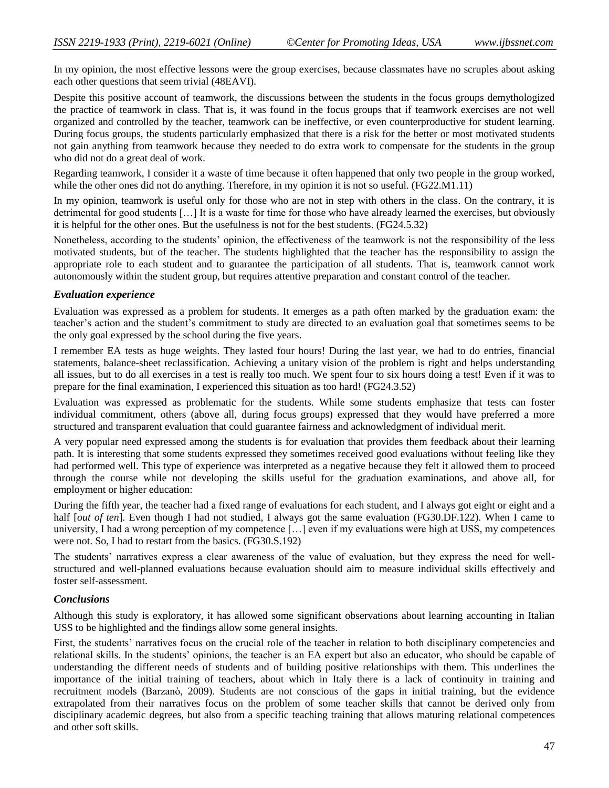In my opinion, the most effective lessons were the group exercises, because classmates have no scruples about asking each other questions that seem trivial (48EAVI).

Despite this positive account of teamwork, the discussions between the students in the focus groups demythologized the practice of teamwork in class. That is, it was found in the focus groups that if teamwork exercises are not well organized and controlled by the teacher, teamwork can be ineffective, or even counterproductive for student learning. During focus groups, the students particularly emphasized that there is a risk for the better or most motivated students not gain anything from teamwork because they needed to do extra work to compensate for the students in the group who did not do a great deal of work.

Regarding teamwork, I consider it a waste of time because it often happened that only two people in the group worked, while the other ones did not do anything. Therefore, in my opinion it is not so useful. (FG22.M1.11)

In my opinion, teamwork is useful only for those who are not in step with others in the class. On the contrary, it is detrimental for good students […] It is a waste for time for those who have already learned the exercises, but obviously it is helpful for the other ones. But the usefulness is not for the best students. (FG24.5.32)

Nonetheless, according to the students' opinion, the effectiveness of the teamwork is not the responsibility of the less motivated students, but of the teacher. The students highlighted that the teacher has the responsibility to assign the appropriate role to each student and to guarantee the participation of all students. That is, teamwork cannot work autonomously within the student group, but requires attentive preparation and constant control of the teacher.

#### *Evaluation experience*

Evaluation was expressed as a problem for students. It emerges as a path often marked by the graduation exam: the teacher's action and the student's commitment to study are directed to an evaluation goal that sometimes seems to be the only goal expressed by the school during the five years.

I remember EA tests as huge weights. They lasted four hours! During the last year, we had to do entries, financial statements, balance-sheet reclassification. Achieving a unitary vision of the problem is right and helps understanding all issues, but to do all exercises in a test is really too much. We spent four to six hours doing a test! Even if it was to prepare for the final examination, I experienced this situation as too hard! (FG24.3.52)

Evaluation was expressed as problematic for the students. While some students emphasize that tests can foster individual commitment, others (above all, during focus groups) expressed that they would have preferred a more structured and transparent evaluation that could guarantee fairness and acknowledgment of individual merit.

A very popular need expressed among the students is for evaluation that provides them feedback about their learning path. It is interesting that some students expressed they sometimes received good evaluations without feeling like they had performed well. This type of experience was interpreted as a negative because they felt it allowed them to proceed through the course while not developing the skills useful for the graduation examinations, and above all, for employment or higher education:

During the fifth year, the teacher had a fixed range of evaluations for each student, and I always got eight or eight and a half [*out of ten*]. Even though I had not studied, I always got the same evaluation (FG30.DF.122). When I came to university, I had a wrong perception of my competence […] even if my evaluations were high at USS, my competences were not. So, I had to restart from the basics. (FG30.S.192)

The students' narratives express a clear awareness of the value of evaluation, but they express the need for wellstructured and well-planned evaluations because evaluation should aim to measure individual skills effectively and foster self-assessment.

#### *Conclusions*

Although this study is exploratory, it has allowed some significant observations about learning accounting in Italian USS to be highlighted and the findings allow some general insights.

First, the students' narratives focus on the crucial role of the teacher in relation to both disciplinary competencies and relational skills. In the students' opinions, the teacher is an EA expert but also an educator, who should be capable of understanding the different needs of students and of building positive relationships with them. This underlines the importance of the initial training of teachers, about which in Italy there is a lack of continuity in training and recruitment models (Barzanò, 2009). Students are not conscious of the gaps in initial training, but the evidence extrapolated from their narratives focus on the problem of some teacher skills that cannot be derived only from disciplinary academic degrees, but also from a specific teaching training that allows maturing relational competences and other soft skills.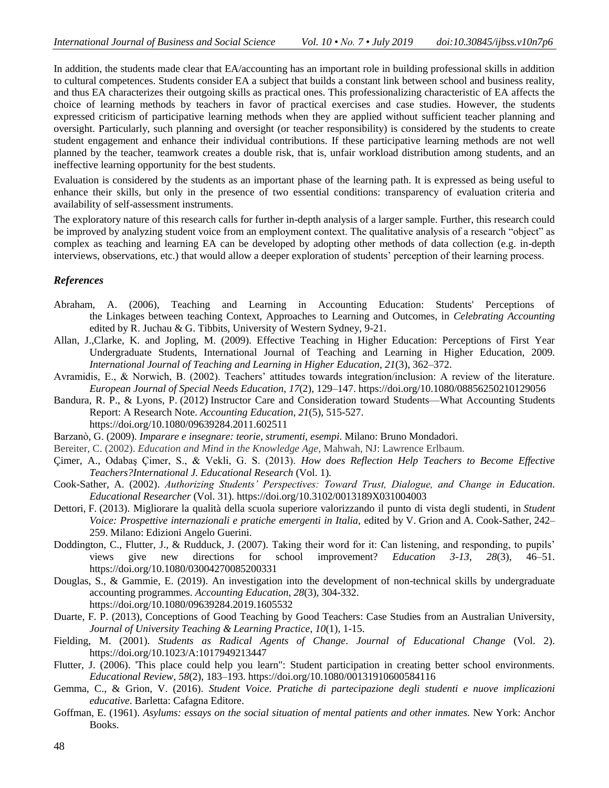In addition, the students made clear that EA/accounting has an important role in building professional skills in addition to cultural competences. Students consider EA a subject that builds a constant link between school and business reality, and thus EA characterizes their outgoing skills as practical ones. This professionalizing characteristic of EA affects the choice of learning methods by teachers in favor of practical exercises and case studies. However, the students expressed criticism of participative learning methods when they are applied without sufficient teacher planning and oversight. Particularly, such planning and oversight (or teacher responsibility) is considered by the students to create student engagement and enhance their individual contributions. If these participative learning methods are not well planned by the teacher, teamwork creates a double risk, that is, unfair workload distribution among students, and an ineffective learning opportunity for the best students.

Evaluation is considered by the students as an important phase of the learning path. It is expressed as being useful to enhance their skills, but only in the presence of two essential conditions: transparency of evaluation criteria and availability of self-assessment instruments.

The exploratory nature of this research calls for further in-depth analysis of a larger sample. Further, this research could be improved by analyzing student voice from an employment context. The qualitative analysis of a research "object" as complex as teaching and learning EA can be developed by adopting other methods of data collection (e.g. in-depth interviews, observations, etc.) that would allow a deeper exploration of students' perception of their learning process.

# *References*

- Abraham, A. (2006), Teaching and Learning in Accounting Education: Students' Perceptions of the Linkages between teaching Context, Approaches to Learning and Outcomes, in *Celebrating Accounting* edited by R. Juchau & G. Tibbits, University of Western Sydney, 9-21.
- Allan, J.,Clarke, K. and Jopling, M. (2009). Effective Teaching in Higher Education: Perceptions of First Year Undergraduate Students, International Journal of Teaching and Learning in Higher Education, 2009. *International Journal of Teaching and Learning in Higher Education*, *21*(3), 362–372.
- Avramidis, E., & Norwich, B. (2002). Teachers' attitudes towards integration/inclusion: A review of the literature. *European Journal of Special Needs Education*, *17*(2), 129–147. https://doi.org/10.1080/08856250210129056
- Bandura, R. P., & Lyons, P. (2012) Instructor Care and Consideration toward Students—What Accounting Students Report: A Research Note. *Accounting Education*, *21*(5), 515-527. https://doi.org/10.1080/09639284.2011.602511
- Barzanò, G. (2009). *Imparare e insegnare: teorie, strumenti, esempi*. Milano: Bruno Mondadori.
- Bereiter, C. (2002). *Education and Mind in the Knowledge Age*, Mahwah, NJ: Lawrence Erlbaum.
- Çimer, A., Odabaş Çimer, S., & Vekli, G. S. (2013). *How does Reflection Help Teachers to Become Effective Teachers?International J. Educational Research* (Vol. 1).
- Cook-Sather, A. (2002). *Authorizing Students' Perspectives: Toward Trust, Dialogue, and Change in Education*. *Educational Researcher* (Vol. 31). https://doi.org/10.3102/0013189X031004003
- Dettori, F. (2013). Migliorare la qualità della scuola superiore valorizzando il punto di vista degli studenti, in *Student Voice: Prospettive internazionali e pratiche emergenti in Italia*, edited by V. Grion and A. Cook-Sather, 242– 259. Milano: Edizioni Angelo Guerini.
- Doddington, C., Flutter, J., & Rudduck, J. (2007). Taking their word for it: Can listening, and responding, to pupils' views give new directions for school improvement? *Education 3-13*, *28*(3), 46–51. https://doi.org/10.1080/03004270085200331
- Douglas, S., & Gammie, E. (2019). An investigation into the development of non-technical skills by undergraduate accounting programmes. *Accounting Education*, *28*(3), 304-332. https://doi.org/10.1080/09639284.2019.1605532
- Duarte, F. P. (2013), Conceptions of Good Teaching by Good Teachers: Case Studies from an Australian University, *Journal of University Teaching & Learning Practice*, *10*(1), 1-15.

Fielding, M. (2001). *Students as Radical Agents of Change*. *Journal of Educational Change* (Vol. 2). https://doi.org/10.1023/A:1017949213447

- Flutter, J. (2006). 'This place could help you learn": Student participation in creating better school environments. *Educational Review*, *58*(2), 183–193. https://doi.org/10.1080/00131910600584116
- Gemma, C., & Grion, V. (2016). *Student Voice. Pratiche di partecipazione degli studenti e nuove implicazioni educative*. Barletta: Cafagna Editore.
- Goffman, E. (1961). *Asylums: essays on the social situation of mental patients and other inmates.* New York: Anchor Books.